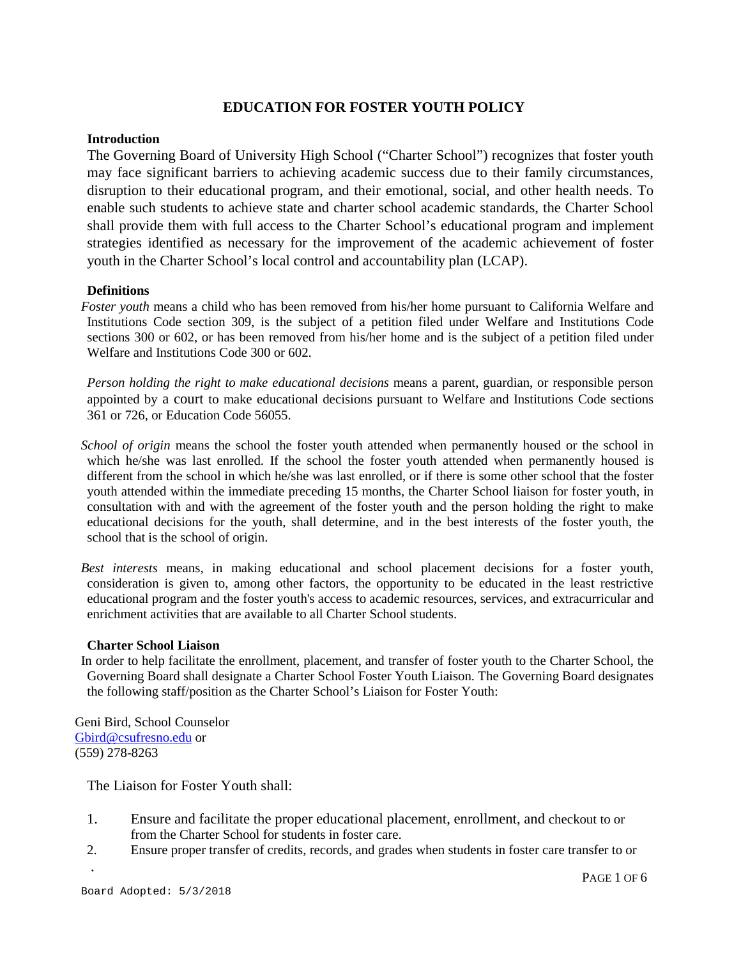# **EDUCATION FOR FOSTER YOUTH POLICY**

# **Introduction**

The Governing Board of University High School ("Charter School") recognizes that foster youth may face significant barriers to achieving academic success due to their family circumstances, disruption to their educational program, and their emotional, social, and other health needs. To enable such students to achieve state and charter school academic standards, the Charter School shall provide them with full access to the Charter School's educational program and implement strategies identified as necessary for the improvement of the academic achievement of foster youth in the Charter School's local control and accountability plan (LCAP).

### **Definitions**

*Foster youth* means a child who has been removed from his/her home pursuant to California Welfare and Institutions Code section 309, is the subject of a petition filed under Welfare and Institutions Code sections 300 or 602, or has been removed from his/her home and is the subject of a petition filed under Welfare and Institutions Code 300 or 602.

*Person holding the right to make educational decisions* means a parent, guardian, or responsible person appointed by a court to make educational decisions pursuant to Welfare and Institutions Code sections 361 or 726, or Education Code 56055.

*School of origin* means the school the foster youth attended when permanently housed or the school in which he/she was last enrolled. If the school the foster youth attended when permanently housed is different from the school in which he/she was last enrolled, or if there is some other school that the foster youth attended within the immediate preceding 15 months, the Charter School liaison for foster youth, in consultation with and with the agreement of the foster youth and the person holding the right to make educational decisions for the youth, shall determine, and in the best interests of the foster youth, the school that is the school of origin.

*Best interests* means, in making educational and school placement decisions for a foster youth, consideration is given to, among other factors, the opportunity to be educated in the least restrictive educational program and the foster youth's access to academic resources, services, and extracurricular and enrichment activities that are available to all Charter School students.

### **Charter School Liaison**

In order to help facilitate the enrollment, placement, and transfer of foster youth to the Charter School, the Governing Board shall designate a Charter School Foster Youth Liaison. The Governing Board designates the following staff/position as the Charter School's Liaison for Foster Youth:

Geni Bird, School Counselor [Gbird@csufresno.edu](mailto:Gbird@csufresno.edu) or (559) 278-8263

The Liaison for Foster Youth shall:

- 1. Ensure and facilitate the proper educational placement, enrollment, and checkout to or from the Charter School for students in foster care.
- 2. Ensure proper transfer of credits, records, and grades when students in foster care transfer to or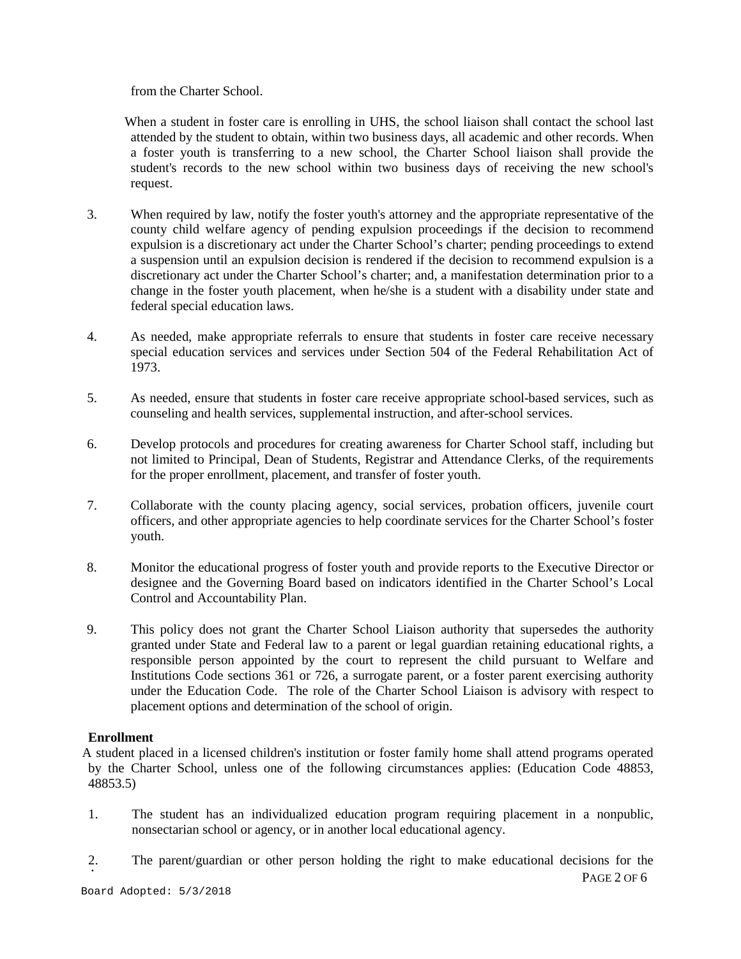from the Charter School.

When a student in foster care is enrolling in UHS, the school liaison shall contact the school last attended by the student to obtain, within two business days, all academic and other records. When a foster youth is transferring to a new school, the Charter School liaison shall provide the student's records to the new school within two business days of receiving the new school's request.

- 3. When required by law, notify the foster youth's attorney and the appropriate representative of the county child welfare agency of pending expulsion proceedings if the decision to recommend expulsion is a discretionary act under the Charter School's charter; pending proceedings to extend a suspension until an expulsion decision is rendered if the decision to recommend expulsion is a discretionary act under the Charter School's charter; and, a manifestation determination prior to a change in the foster youth placement, when he/she is a student with a disability under state and federal special education laws.
- 4. As needed, make appropriate referrals to ensure that students in foster care receive necessary special education services and services under Section 504 of the Federal Rehabilitation Act of 1973.
- 5. As needed, ensure that students in foster care receive appropriate school-based services, such as counseling and health services, supplemental instruction, and after-school services.
- 6. Develop protocols and procedures for creating awareness for Charter School staff, including but not limited to Principal, Dean of Students, Registrar and Attendance Clerks, of the requirements for the proper enrollment, placement, and transfer of foster youth.
- 7. Collaborate with the county placing agency, social services, probation officers, juvenile court officers, and other appropriate agencies to help coordinate services for the Charter School's foster youth.
- 8. Monitor the educational progress of foster youth and provide reports to the Executive Director or designee and the Governing Board based on indicators identified in the Charter School's Local Control and Accountability Plan.
- 9. This policy does not grant the Charter School Liaison authority that supersedes the authority granted under State and Federal law to a parent or legal guardian retaining educational rights, a responsible person appointed by the court to represent the child pursuant to Welfare and Institutions Code sections 361 or 726, a surrogate parent, or a foster parent exercising authority under the Education Code. The role of the Charter School Liaison is advisory with respect to placement options and determination of the school of origin.

# **Enrollment**

A student placed in a licensed children's institution or foster family home shall attend programs operated by the Charter School, unless one of the following circumstances applies: (Education Code 48853, 48853.5)

- 1. The student has an individualized education program requiring placement in a nonpublic, nonsectarian school or agency, or in another local educational agency.
- 2. The parent/guardian or other person holding the right to make educational decisions for the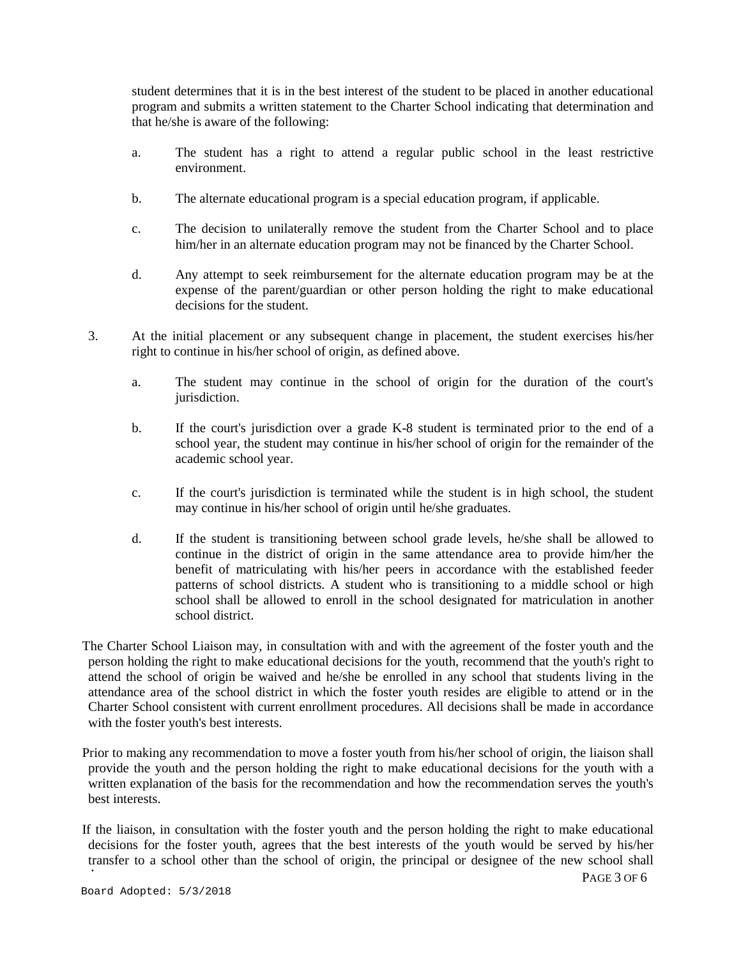student determines that it is in the best interest of the student to be placed in another educational program and submits a written statement to the Charter School indicating that determination and that he/she is aware of the following:

- a. The student has a right to attend a regular public school in the least restrictive environment.
- b. The alternate educational program is a special education program, if applicable.
- c. The decision to unilaterally remove the student from the Charter School and to place him/her in an alternate education program may not be financed by the Charter School.
- d. Any attempt to seek reimbursement for the alternate education program may be at the expense of the parent/guardian or other person holding the right to make educational decisions for the student.
- 3. At the initial placement or any subsequent change in placement, the student exercises his/her right to continue in his/her school of origin, as defined above.
	- a. The student may continue in the school of origin for the duration of the court's jurisdiction.
	- b. If the court's jurisdiction over a grade K-8 student is terminated prior to the end of a school year, the student may continue in his/her school of origin for the remainder of the academic school year.
	- c. If the court's jurisdiction is terminated while the student is in high school, the student may continue in his/her school of origin until he/she graduates.
	- d. If the student is transitioning between school grade levels, he/she shall be allowed to continue in the district of origin in the same attendance area to provide him/her the benefit of matriculating with his/her peers in accordance with the established feeder patterns of school districts. A student who is transitioning to a middle school or high school shall be allowed to enroll in the school designated for matriculation in another school district.
- The Charter School Liaison may, in consultation with and with the agreement of the foster youth and the person holding the right to make educational decisions for the youth, recommend that the youth's right to attend the school of origin be waived and he/she be enrolled in any school that students living in the attendance area of the school district in which the foster youth resides are eligible to attend or in the Charter School consistent with current enrollment procedures. All decisions shall be made in accordance with the foster youth's best interests.
- Prior to making any recommendation to move a foster youth from his/her school of origin, the liaison shall provide the youth and the person holding the right to make educational decisions for the youth with a written explanation of the basis for the recommendation and how the recommendation serves the youth's best interests.
- If the liaison, in consultation with the foster youth and the person holding the right to make educational decisions for the foster youth, agrees that the best interests of the youth would be served by his/her transfer to a school other than the school of origin, the principal or designee of the new school shall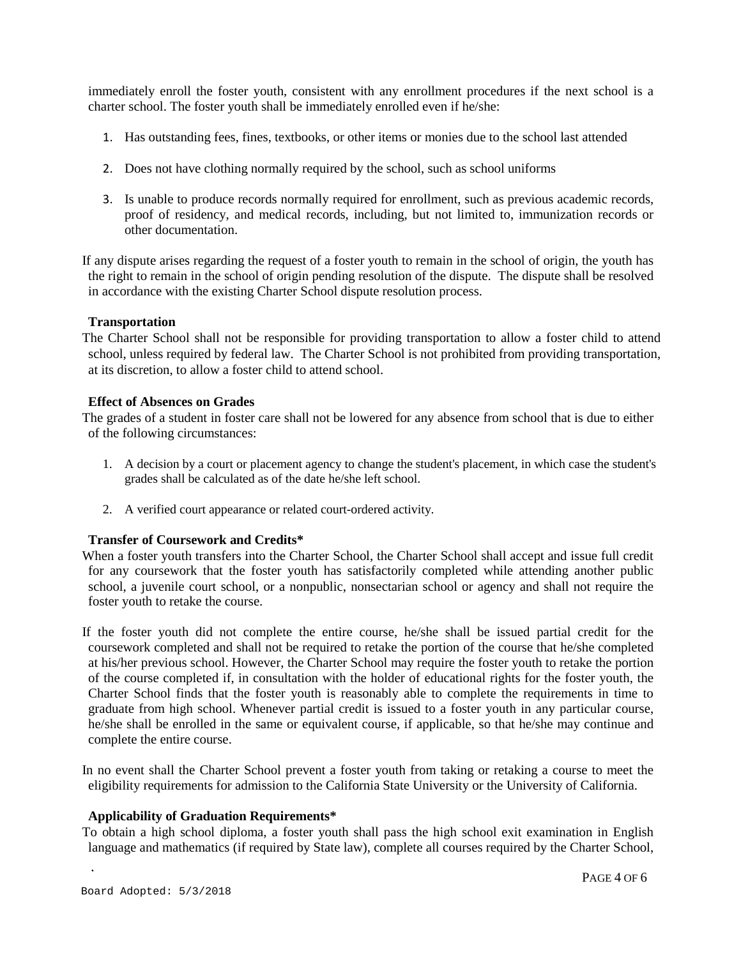immediately enroll the foster youth, consistent with any enrollment procedures if the next school is a charter school. The foster youth shall be immediately enrolled even if he/she:

- 1. Has outstanding fees, fines, textbooks, or other items or monies due to the school last attended
- 2. Does not have clothing normally required by the school, such as school uniforms
- 3. Is unable to produce records normally required for enrollment, such as previous academic records, proof of residency, and medical records, including, but not limited to, immunization records or other documentation.

If any dispute arises regarding the request of a foster youth to remain in the school of origin, the youth has the right to remain in the school of origin pending resolution of the dispute. The dispute shall be resolved in accordance with the existing Charter School dispute resolution process.

### **Transportation**

The Charter School shall not be responsible for providing transportation to allow a foster child to attend school, unless required by federal law. The Charter School is not prohibited from providing transportation, at its discretion, to allow a foster child to attend school.

### **Effect of Absences on Grades**

The grades of a student in foster care shall not be lowered for any absence from school that is due to either of the following circumstances:

- 1. A decision by a court or placement agency to change the student's placement, in which case the student's grades shall be calculated as of the date he/she left school.
- 2. A verified court appearance or related court-ordered activity.

### **Transfer of Coursework and Credits\***

When a foster youth transfers into the Charter School, the Charter School shall accept and issue full credit for any coursework that the foster youth has satisfactorily completed while attending another public school, a juvenile court school, or a nonpublic, nonsectarian school or agency and shall not require the foster youth to retake the course.

If the foster youth did not complete the entire course, he/she shall be issued partial credit for the coursework completed and shall not be required to retake the portion of the course that he/she completed at his/her previous school. However, the Charter School may require the foster youth to retake the portion of the course completed if, in consultation with the holder of educational rights for the foster youth, the Charter School finds that the foster youth is reasonably able to complete the requirements in time to graduate from high school. Whenever partial credit is issued to a foster youth in any particular course, he/she shall be enrolled in the same or equivalent course, if applicable, so that he/she may continue and complete the entire course.

In no event shall the Charter School prevent a foster youth from taking or retaking a course to meet the eligibility requirements for admission to the California State University or the University of California.

#### **Applicability of Graduation Requirements\***

To obtain a high school diploma, a foster youth shall pass the high school exit examination in English language and mathematics (if required by State law), complete all courses required by the Charter School,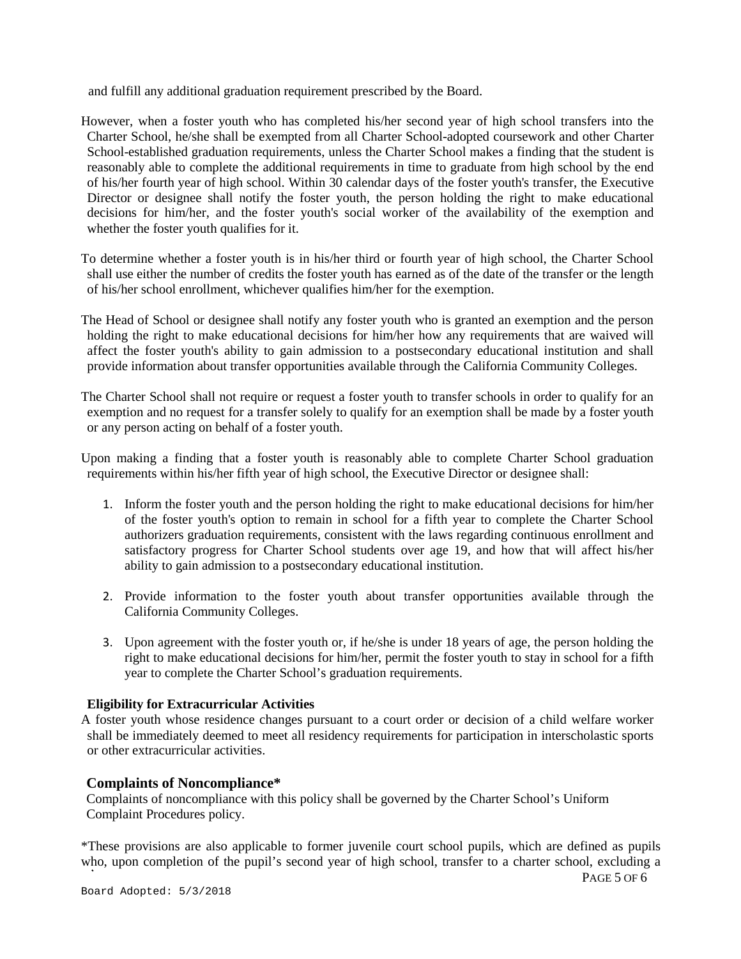and fulfill any additional graduation requirement prescribed by the Board.

- However, when a foster youth who has completed his/her second year of high school transfers into the Charter School, he/she shall be exempted from all Charter School-adopted coursework and other Charter School-established graduation requirements, unless the Charter School makes a finding that the student is reasonably able to complete the additional requirements in time to graduate from high school by the end of his/her fourth year of high school. Within 30 calendar days of the foster youth's transfer, the Executive Director or designee shall notify the foster youth, the person holding the right to make educational decisions for him/her, and the foster youth's social worker of the availability of the exemption and whether the foster youth qualifies for it.
- To determine whether a foster youth is in his/her third or fourth year of high school, the Charter School shall use either the number of credits the foster youth has earned as of the date of the transfer or the length of his/her school enrollment, whichever qualifies him/her for the exemption.
- The Head of School or designee shall notify any foster youth who is granted an exemption and the person holding the right to make educational decisions for him/her how any requirements that are waived will affect the foster youth's ability to gain admission to a postsecondary educational institution and shall provide information about transfer opportunities available through the California Community Colleges.
- The Charter School shall not require or request a foster youth to transfer schools in order to qualify for an exemption and no request for a transfer solely to qualify for an exemption shall be made by a foster youth or any person acting on behalf of a foster youth.
- Upon making a finding that a foster youth is reasonably able to complete Charter School graduation requirements within his/her fifth year of high school, the Executive Director or designee shall:
	- 1. Inform the foster youth and the person holding the right to make educational decisions for him/her of the foster youth's option to remain in school for a fifth year to complete the Charter School authorizers graduation requirements, consistent with the laws regarding continuous enrollment and satisfactory progress for Charter School students over age 19, and how that will affect his/her ability to gain admission to a postsecondary educational institution.
	- 2. Provide information to the foster youth about transfer opportunities available through the California Community Colleges.
	- 3. Upon agreement with the foster youth or, if he/she is under 18 years of age, the person holding the right to make educational decisions for him/her, permit the foster youth to stay in school for a fifth year to complete the Charter School's graduation requirements.

# **Eligibility for Extracurricular Activities**

A foster youth whose residence changes pursuant to a court order or decision of a child welfare worker shall be immediately deemed to meet all residency requirements for participation in interscholastic sports or other extracurricular activities.

# **Complaints of Noncompliance\***

Complaints of noncompliance with this policy shall be governed by the Charter School's Uniform Complaint Procedures policy.

\*These provisions are also applicable to former juvenile court school pupils, which are defined as pupils who, upon completion of the pupil's second year of high school, transfer to a charter school, excluding a